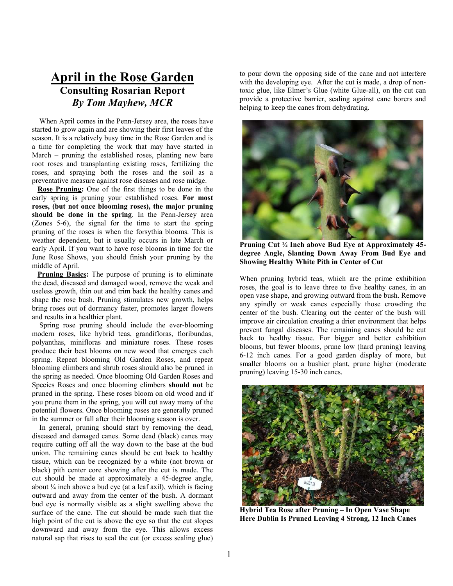## **April in the Rose Garden Consulting Rosarian Report**  *By Tom Mayhew, MCR*

When April comes in the Penn-Jersey area, the roses have started to grow again and are showing their first leaves of the season. It is a relatively busy time in the Rose Garden and is a time for completing the work that may have started in March – pruning the established roses, planting new bare root roses and transplanting existing roses, fertilizing the roses, and spraying both the roses and the soil as a preventative measure against rose diseases and rose midge.

 **Rose Pruning:** One of the first things to be done in the early spring is pruning your established roses. **For most roses, (but not once blooming roses), the major pruning should be done in the spring**. In the Penn-Jersey area (Zones 5-6), the signal for the time to start the spring pruning of the roses is when the forsythia blooms. This is weather dependent, but it usually occurs in late March or early April. If you want to have rose blooms in time for the June Rose Shows, you should finish your pruning by the middle of April.

**Pruning Basics:** The purpose of pruning is to eliminate the dead, diseased and damaged wood, remove the weak and useless growth, thin out and trim back the healthy canes and shape the rose bush. Pruning stimulates new growth, helps bring roses out of dormancy faster, promotes larger flowers and results in a healthier plant.

 Spring rose pruning should include the ever-blooming modern roses, like hybrid teas, grandifloras, floribundas, polyanthas, minifloras and miniature roses. These roses produce their best blooms on new wood that emerges each spring. Repeat blooming Old Garden Roses, and repeat blooming climbers and shrub roses should also be pruned in the spring as needed. Once blooming Old Garden Roses and Species Roses and once blooming climbers **should not** be pruned in the spring. These roses bloom on old wood and if you prune them in the spring, you will cut away many of the potential flowers. Once blooming roses are generally pruned in the summer or fall after their blooming season is over.

 In general, pruning should start by removing the dead, diseased and damaged canes. Some dead (black) canes may require cutting off all the way down to the base at the bud union. The remaining canes should be cut back to healthy tissue, which can be recognized by a white (not brown or black) pith center core showing after the cut is made. The cut should be made at approximately a 45-degree angle, about  $\frac{1}{4}$  inch above a bud eye (at a leaf axil), which is facing outward and away from the center of the bush. A dormant bud eye is normally visible as a slight swelling above the surface of the cane. The cut should be made such that the high point of the cut is above the eye so that the cut slopes downward and away from the eye. This allows excess natural sap that rises to seal the cut (or excess sealing glue) to pour down the opposing side of the cane and not interfere with the developing eye. After the cut is made, a drop of nontoxic glue, like Elmer's Glue (white Glue-all), on the cut can provide a protective barrier, sealing against cane borers and helping to keep the canes from dehydrating.



**Pruning Cut ¼ Inch above Bud Eye at Approximately 45 degree Angle, Slanting Down Away From Bud Eye and Showing Healthy White Pith in Center of Cut** 

When pruning hybrid teas, which are the prime exhibition roses, the goal is to leave three to five healthy canes, in an open vase shape, and growing outward from the bush. Remove any spindly or weak canes especially those crowding the center of the bush. Clearing out the center of the bush will improve air circulation creating a drier environment that helps prevent fungal diseases. The remaining canes should be cut back to healthy tissue. For bigger and better exhibition blooms, but fewer blooms, prune low (hard pruning) leaving 6-12 inch canes. For a good garden display of more, but smaller blooms on a bushier plant, prune higher (moderate pruning) leaving 15-30 inch canes.



**Hybrid Tea Rose after Pruning – In Open Vase Shape Here Dublin Is Pruned Leaving 4 Strong, 12 Inch Canes**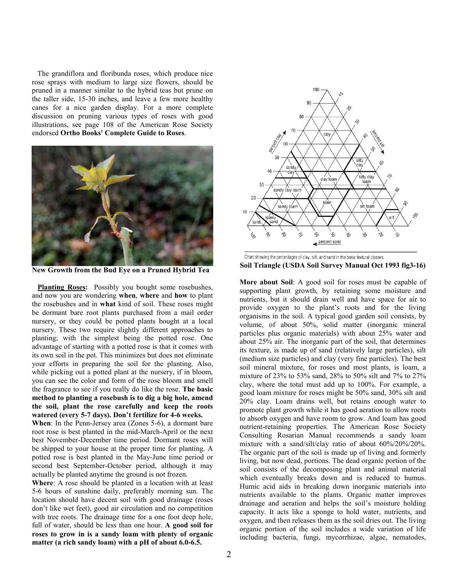The grandiflora and floribunda roses, which produce nice rose sprays with medium to large size flowers, should be pruned in a manner similar to the hybrid teas but prune on the taller side, 15-30 inches, and leave a few more healthy canes for a nice garden display. For a more complete discussion on pruning various types of roses with good illustrations, see page 108 of the American Rose Society endorsed **Ortho Books' Complete Guide to Roses**.



**7ew Growth from the Bud Eye on a Pruned Hybrid Tea** 

 **Planting Roses:** Possibly you bought some rosebushes, and now you are wondering **when**, **where** and **how** to plant the rosebushes and in **what** kind of soil. These roses might be dormant bare root plants purchased from a mail order nursery, or they could be potted plants bought at a local nursery. These two require slightly different approaches to planting; with the simplest being the potted rose. One advantage of starting with a potted rose is that it comes with its own soil in the pot. This minimizes but does not eliminate your efforts in preparing the soil for the planting. Also, while picking out a potted plant at the nursery, if in bloom, you can see the color and form of the rose bloom and smell the fragrance to see if you really do like the rose. **The basic method to planting a rosebush is to dig a big hole, amend the soil, plant the rose carefully and keep the roots watered (every 5-7 days). Don't fertilize for 4-6 weeks.**

**When**: In the Penn-Jersey area (Zones 5-6), a dormant bare root rose is best planted in the mid-March-April or the next best November-December time period. Dormant roses will be shipped to your house at the proper time for planting. A potted rose is best planted in the May-June time period or second best September-October period, although it may actually be planted anytime the ground is not frozen.

**Where**: A rose should be planted in a location with at least 5-6 hours of sunshine daily, preferably morning sun. The location should have decent soil with good drainage (roses don't like wet feet), good air circulation and no competition with tree roots. The drainage time for a one foot deep hole, full of water, should be less than one hour. **A good soil for roses to grow in is a sandy loam with plenty of organic matter (a rich sandy loam) with a pH of about 6.0-6.5.** 



Chart showing the percentages of clay, silt, and sand in the basic textural classes. **Soil Triangle (USDA Soil Survey Manual Oct 1993 fig3-16)** 

**More about Soil**: A good soil for roses must be capable of supporting plant growth, by retaining some moisture and nutrients, but it should drain well and have space for air to provide oxygen to the plant's roots and for the living organisms in the soil. A typical good garden soil consists, by volume, of about 50%, solid matter (inorganic mineral particles plus organic materials) with about 25% water and about 25% air. The inorganic part of the soil, that determines its texture, is made up of sand (relatively large particles), silt (medium size particles) and clay (very fine particles). The best soil mineral mixture, for roses and most plants, is loam, a mixture of 23% to 53% sand, 28% to 50% silt and 7% to 27% clay, where the total must add up to 100%. For example, a good loam mixture for roses might be 50% sand, 30% silt and 20% clay. Loam drains well, but retains enough water to promote plant growth while it has good aeration to allow roots to absorb oxygen and have room to grow. And loam has good nutrient-retaining properties. The American Rose Society Consulting Rosarian Manual recommends a sandy loam mixture with a sand/silt/clay ratio of about 60%/20%/20%. The organic part of the soil is made up of living and formerly living, but now dead, portions. The dead organic portion of the soil consists of the decomposing plant and animal material which eventually breaks down and is reduced to humus. Humic acid aids in breaking down inorganic materials into nutrients available to the plants. Organic matter improves drainage and aeration and helps the soil's moisture holding capacity. It acts like a sponge to hold water, nutrients, and oxygen, and then releases them as the soil dries out. The living organic portion of the soil includes a wide variation of life including bacteria, fungi, mycorrhizae, algae, nematodes,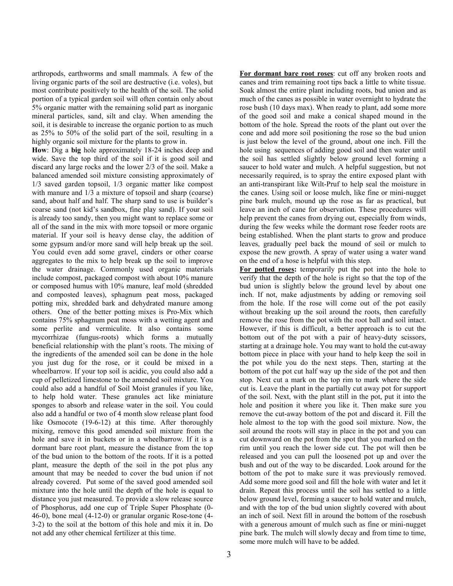arthropods, earthworms and small mammals. A few of the living organic parts of the soil are destructive (i.e. voles), but most contribute positively to the health of the soil. The solid portion of a typical garden soil will often contain only about 5% organic matter with the remaining solid part as inorganic mineral particles, sand, silt and clay. When amending the soil, it is desirable to increase the organic portion to as much as 25% to 50% of the solid part of the soil, resulting in a highly organic soil mixture for the plants to grow in.

**How**: Dig a **big** hole approximately 18-24 inches deep and wide. Save the top third of the soil if it is good soil and discard any large rocks and the lower 2/3 of the soil. Make a balanced amended soil mixture consisting approximately of 1/3 saved garden topsoil, 1/3 organic matter like compost with manure and  $1/3$  a mixture of topsoil and sharp (coarse) sand, about half and half. The sharp sand to use is builder's coarse sand (not kid's sandbox, fine play sand). If your soil is already too sandy, then you might want to replace some or all of the sand in the mix with more topsoil or more organic material. If your soil is heavy dense clay, the addition of some gypsum and/or more sand will help break up the soil. You could even add some gravel, cinders or other coarse aggregates to the mix to help break up the soil to improve the water drainage. Commonly used organic materials include compost, packaged compost with about 10% manure or composed humus with 10% manure, leaf mold (shredded and composted leaves), sphagnum peat moss, packaged potting mix, shredded bark and dehydrated manure among others. One of the better potting mixes is Pro-Mix which contains 75% sphagnum peat moss with a wetting agent and some perlite and vermiculite. It also contains some mycorrhizae (fungus-roots) which forms a mutually beneficial relationship with the plant's roots. The mixing of the ingredients of the amended soil can be done in the hole you just dug for the rose, or it could be mixed in a wheelbarrow. If your top soil is acidic, you could also add a cup of pelletized limestone to the amended soil mixture. You could also add a handful of Soil Moist granules if you like, to help hold water. These granules act like miniature sponges to absorb and release water in the soil. You could also add a handful or two of 4 month slow release plant food like Osmocote (19-6-12) at this time. After thoroughly mixing, remove this good amended soil mixture from the hole and save it in buckets or in a wheelbarrow. If it is a dormant bare root plant, measure the distance from the top of the bud union to the bottom of the roots. If it is a potted plant, measure the depth of the soil in the pot plus any amount that may be needed to cover the bud union if not already covered. Put some of the saved good amended soil mixture into the hole until the depth of the hole is equal to distance you just measured. To provide a slow release source of Phosphorus, add one cup of Triple Super Phosphate (0- 46-0), bone meal (4-12-0) or granular organic Rose-tone (4- 3-2) to the soil at the bottom of this hole and mix it in. Do not add any other chemical fertilizer at this time.

**For dormant bare root roses**: cut off any broken roots and canes and trim remaining root tips back a little to white tissue. Soak almost the entire plant including roots, bud union and as much of the canes as possible in water overnight to hydrate the rose bush (10 days max). When ready to plant, add some more of the good soil and make a conical shaped mound in the bottom of the hole. Spread the roots of the plant out over the cone and add more soil positioning the rose so the bud union is just below the level of the ground, about one inch. Fill the hole using sequences of adding good soil and then water until the soil has settled slightly below ground level forming a saucer to hold water and mulch. A helpful suggestion, but not necessarily required, is to spray the entire exposed plant with an anti-transpirant like Wilt-Pruf to help seal the moisture in the canes. Using soil or loose mulch, like fine or mini-nugget pine bark mulch, mound up the rose as far as practical, but leave an inch of cane for observation. These procedures will help prevent the canes from drying out, especially from winds, during the few weeks while the dormant rose feeder roots are being established. When the plant starts to grow and produce leaves, gradually peel back the mound of soil or mulch to expose the new growth. A spray of water using a water wand on the end of a hose is helpful with this step.

**For potted roses:** temporarily put the pot into the hole to verify that the depth of the hole is right so that the top of the bud union is slightly below the ground level by about one inch. If not, make adjustments by adding or removing soil from the hole. If the rose will come out of the pot easily without breaking up the soil around the roots, then carefully remove the rose from the pot with the root ball and soil intact. However, if this is difficult, a better approach is to cut the bottom out of the pot with a pair of heavy-duty scissors, starting at a drainage hole. You may want to hold the cut-away bottom piece in place with your hand to help keep the soil in the pot while you do the next steps. Then, starting at the bottom of the pot cut half way up the side of the pot and then stop. Next cut a mark on the top rim to mark where the side cut is. Leave the plant in the partially cut away pot for support of the soil. Next, with the plant still in the pot, put it into the hole and position it where you like it. Then make sure you remove the cut-away bottom of the pot and discard it. Fill the hole almost to the top with the good soil mixture. Now, the soil around the roots will stay in place in the pot and you can cut downward on the pot from the spot that you marked on the rim until you reach the lower side cut. The pot will then be released and you can pull the loosened pot up and over the bush and out of the way to be discarded. Look around for the bottom of the pot to make sure it was previously removed. Add some more good soil and fill the hole with water and let it drain. Repeat this process until the soil has settled to a little below ground level, forming a saucer to hold water and mulch, and with the top of the bud union slightly covered with about an inch of soil. Next fill in around the bottom of the rosebush with a generous amount of mulch such as fine or mini-nugget pine bark. The mulch will slowly decay and from time to time, some more mulch will have to be added.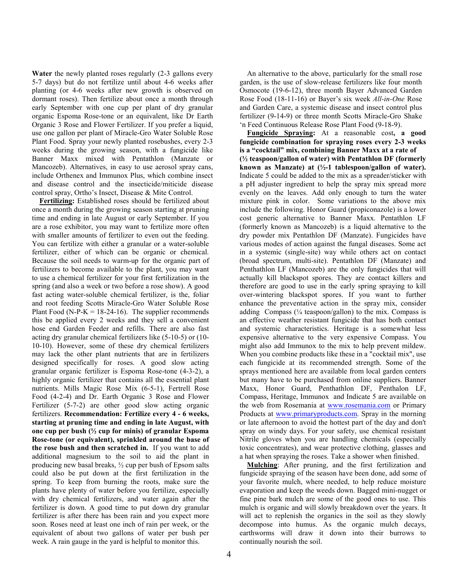**Water** the newly planted roses regularly (2-3 gallons every 5-7 days) but do not fertilize until about 4-6 weeks after planting (or 4-6 weeks after new growth is observed on dormant roses). Then fertilize about once a month through early September with one cup per plant of dry granular organic Espoma Rose-tone or an equivalent, like Dr Earth Organic 3 Rose and Flower Fertilizer. If you prefer a liquid, use one gallon per plant of Miracle-Gro Water Soluble Rose Plant Food. Spray your newly planted rosebushes, every 2-3 weeks during the growing season, with a fungicide like Banner Maxx mixed with Pentathlon (Manzate or Mancozeb). Alternatives, in easy to use aerosol spray cans, include Orthenex and Immunox Plus, which combine insect and disease control and the insecticide/miticide disease control spray, Ortho's Insect, Disease & Mite Control.

 **Fertilizing:** Established roses should be fertilized about once a month during the growing season starting at pruning time and ending in late August or early September. If you are a rose exhibitor, you may want to fertilize more often with smaller amounts of fertilizer to even out the feeding. You can fertilize with either a granular or a water-soluble fertilizer, either of which can be organic or chemical. Because the soil needs to warm-up for the organic part of fertilizers to become available to the plant, you may want to use a chemical fertilizer for your first fertilization in the spring (and also a week or two before a rose show). A good fast acting water-soluble chemical fertilizer, is the, foliar and root feeding Scotts Miracle-Gro Water Soluble Rose Plant Food (N-P-K =  $18-24-16$ ). The supplier recommends this be applied every 2 weeks and they sell a convenient hose end Garden Feeder and refills. There are also fast acting dry granular chemical fertilizers like (5-10-5) or (10- 10-10). However, some of these dry chemical fertilizers may lack the other plant nutrients that are in fertilizers designed specifically for roses. A good slow acting granular organic fertilizer is Espoma Rose-tone (4-3-2), a highly organic fertilizer that contains all the essential plant nutrients. Mills Magic Rose Mix (6-5-1), Fertrell Rose Food (4-2-4) and Dr. Earth Organic 3 Rose and Flower Fertilizer (5-7-2) are other good slow acting organic fertilizers. **Recommendation: Fertilize every 4 - 6 weeks, starting at pruning time and ending in late August, with one cup per bush (½ cup for minis) of granular Espoma Rose-tone (or equivalent), sprinkled around the base of the rose bush and then scratched in.** If you want to add additional magnesium to the soil to aid the plant in producing new basal breaks, ½ cup per bush of Epsom salts could also be put down at the first fertilization in the spring. To keep from burning the roots, make sure the plants have plenty of water before you fertilize, especially with dry chemical fertilizers, and water again after the fertilizer is down. A good time to put down dry granular fertilizer is after there has been rain and you expect more soon. Roses need at least one inch of rain per week, or the equivalent of about two gallons of water per bush per week. A rain gauge in the yard is helpful to monitor this.

 An alternative to the above, particularly for the small rose garden, is the use of slow-release fertilizers like four month Osmocote (19-6-12), three month Bayer Advanced Garden Rose Food (18-11-16) or Bayer's six week *All-in-One* Rose and Garden Care, a systemic disease and insect control plus fertilizer (9-14-9) or three month Scotts Miracle-Gro Shake 'n Feed Continuous Release Rose Plant Food (9-18-9).

 **Fungicide Spraying:** At a reasonable cost**, a good fungicide combination for spraying roses every 2-3 weeks is a "cocktail" mix, combining Banner Maxx at a rate of (½ teaspoon/gallon of water) with Pentathlon DF (formerly known as Manzate) at (½-1 tablespoon/gallon of water).**  Indicate 5 could be added to the mix as a spreader/sticker with a pH adjuster ingredient to help the spray mix spread more evenly on the leaves. Add only enough to turn the water mixture pink in color. Some variations to the above mix include the following. Honor Guard (propiconazole) is a lower cost generic alternative to Banner Maxx. Pentathlon LF (formerly known as Mancozeb) is a liquid alternative to the dry powder mix Pentathlon DF (Manzate). Fungicides have various modes of action against the fungal diseases. Some act in a systemic (single-site) way while others act on contact (broad spectrum, multi-site). Pentathlon DF (Manzate) and Penthathlon LF (Mancozeb) are the only fungicides that will actually kill blackspot spores. They are contact killers and therefore are good to use in the early spring spraying to kill over-wintering blackspot spores. If you want to further enhance the preventative action in the spray mix, consider adding Compass  $(\frac{1}{4}$  teaspoon/gallon) to the mix. Compass is an effective weather resistant fungicide that has both contact and systemic characteristics. Heritage is a somewhat less expensive alternative to the very expensive Compass. You might also add Immunox to the mix to help prevent mildew. When you combine products like these in a "cocktail mix", use each fungicide at its recommended strength. Some of the sprays mentioned here are available from local garden centers but many have to be purchased from online suppliers. Banner Maxx, Honor Guard, Penthathlon DF, Penthalon LF, Compass, Heritage, Immunox and Indicate 5 are available on the web from Rosemania at www.rosemania.com or Primary Products at www.primaryproducts.com. Spray in the morning or late afternoon to avoid the hottest part of the day and don't spray on windy days. For your safety, use chemical resistant Nitrile gloves when you are handling chemicals (especially toxic concentrates), and wear protective clothing, glasses and a hat when spraying the roses. Take a shower when finished.

 **Mulching**: After pruning, and the first fertilization and fungicide spraying of the season have been done, add some of your favorite mulch, where needed, to help reduce moisture evaporation and keep the weeds down. Bagged mini-nugget or fine pine bark mulch are some of the good ones to use. This mulch is organic and will slowly breakdown over the years. It will act to replenish the organics in the soil as they slowly decompose into humus. As the organic mulch decays, earthworms will draw it down into their burrows to continually nourish the soil.